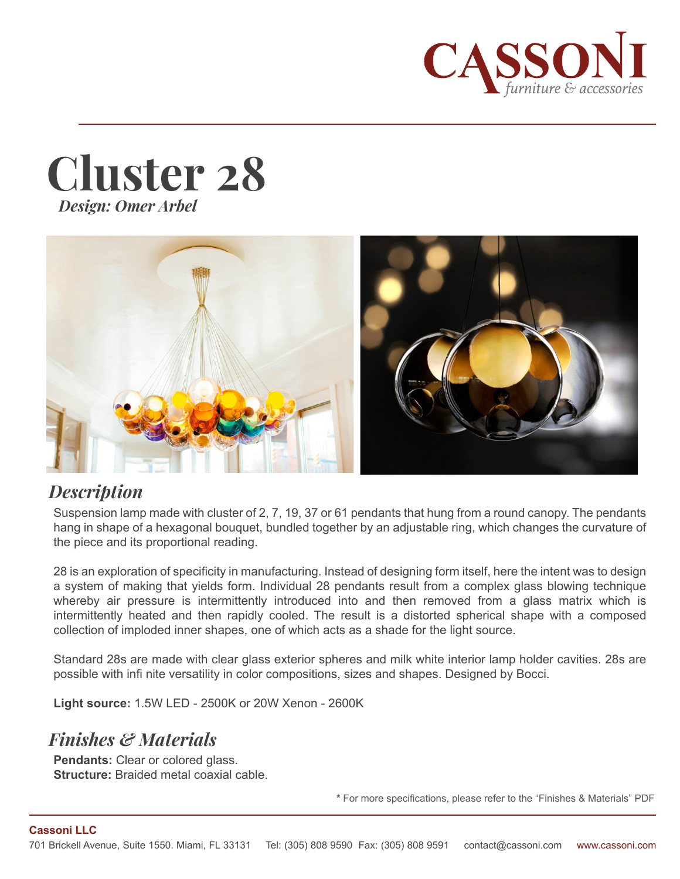





#### *Description*

Suspension lamp made with cluster of 2, 7, 19, 37 or 61 pendants that hung from a round canopy. The pendants hang in shape of a hexagonal bouquet, bundled together by an adjustable ring, which changes the curvature of the piece and its proportional reading.

28 is an exploration of specificity in manufacturing. Instead of designing form itself, here the intent was to design a system of making that yields form. Individual 28 pendants result from a complex glass blowing technique whereby air pressure is intermittently introduced into and then removed from a glass matrix which is intermittently heated and then rapidly cooled. The result is a distorted spherical shape with a composed collection of imploded inner shapes, one of which acts as a shade for the light source.

Standard 28s are made with clear glass exterior spheres and milk white interior lamp holder cavities. 28s are possible with infi nite versatility in color compositions, sizes and shapes. Designed by Bocci.

**Light source:** 1.5W LED - 2500K or 20W Xenon - 2600K

# *Finishes & Materials*

**Pendants:** Clear or colored glass. **Structure:** Braided metal coaxial cable.

**\*** For more specifications, please refer to the "Finishes & Materials" PDF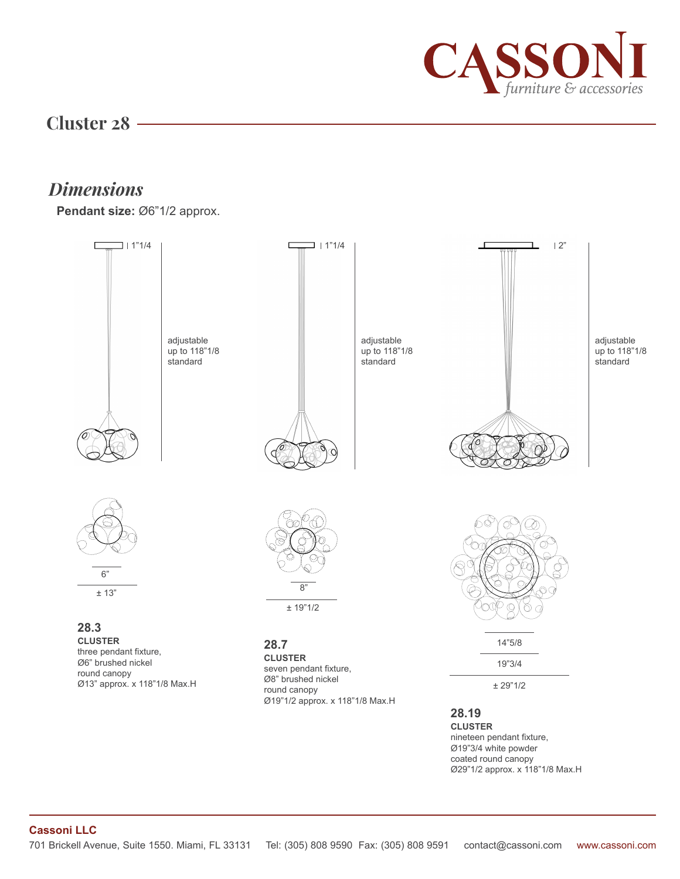

### **Cluster 28**

## *Dimensions*

**Pendant size:** Ø6"1/2 approx.



nineteen pendant fixture, Ø19"3/4 white powder coated round canopy Ø29"1/2 approx. x 118"1/8 Max.H

#### **Cassoni LLC**